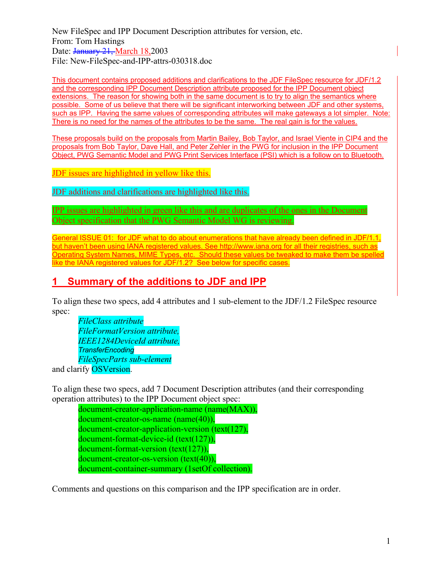New FileSpec and IPP Document Description attributes for version, etc. From: Tom Hastings Date: January 21, March 18,2003 File: New-FileSpec-and-IPP-attrs-030318.doc

This document contains proposed additions and clarifications to the JDF FileSpec resource for JDF/1.2 and the corresponding IPP Document Description attribute proposed for the IPP Document object extensions. The reason for showing both in the same document is to try to align the semantics where possible. Some of us believe that there will be significant interworking between JDF and other systems, such as IPP. Having the same values of corresponding attributes will make gateways a lot simpler. Note: There is no need for the names of the attributes to be the same. The real gain is for the values.

These proposals build on the proposals from Martin Bailey, Bob Taylor, and Israel Viente in CIP4 and the proposals from Bob Taylor, Dave Hall, and Peter Zehler in the PWG for inclusion in the IPP Document Object, PWG Semantic Model and PWG Print Services Interface (PSI) which is a follow on to Bluetooth.

JDF issues are highlighted in yellow like this.

JDF additions and clarifications are highlighted like this.

IPP issues are highlighted in green like this and are duplicates of the ones in the Document Object specification that the PWG Semantic Model WG is reviewing.

General ISSUE 01: for JDF what to do about enumerations that have already been defined in JDF/1.1, but haven't been using IANA registered values. See http://www.iana.org for all their registries, such as Operating System Names, MIME Types, etc. Should these values be tweaked to make them be spelled like the IANA registered values for JDF/1.2? See below for specific cases.

## **1 Summary of the additions to JDF and IPP**

To align these two specs, add 4 attributes and 1 sub-element to the JDF/1.2 FileSpec resource spec:

*FileClass attribute FileFormatVersion attribute, IEEE1284DeviceId attribute, TransferEncoding FileSpecParts sub-element* and clarify OSVersion.

To align these two specs, add 7 Document Description attributes (and their corresponding operation attributes) to the IPP Document object spec:

document-creator-application-name (name(MAX)), document-creator-os-name (name(40)), document-creator-application-version (text(127), document-format-device-id (text(127)), document-format-version (text(127)), document-creator-os-version (text(40)), document-container-summary (1setOf collection).

Comments and questions on this comparison and the IPP specification are in order.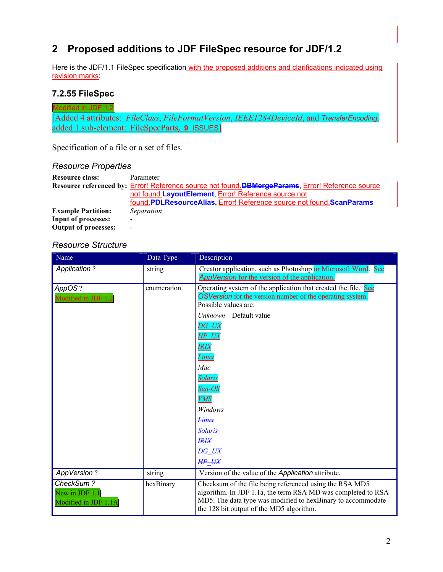# **2 Proposed additions to JDF FileSpec resource for JDF/1.2**

Here is the JDF/1.1 FileSpec specification with the proposed additions and clarifications indicated using revision marks:

## **7.2.55 FileSpec**

Modified in JDF 1.2 [Added 4 attributes: *FileClass*, *FileFormatVersion*, *IEEE1284DeviceId*, and *TransferEncoding,*  added 1 sub-element: FileSpecParts*,* **9** ISSUES]

Specification of a file or a set of files.

#### *Resource Properties*

| <b>Resource class:</b>      | Parameter                                                                                        |
|-----------------------------|--------------------------------------------------------------------------------------------------|
|                             | Resource referenced by: Error! Reference source not found.DBMergeParams, Error! Reference source |
|                             | not found. Layout Element, Error! Reference source not                                           |
|                             | found.PDLResourceAlias, Error! Reference source not found.ScanParams                             |
| <b>Example Partition:</b>   | Separation                                                                                       |
| <b>Input of processes:</b>  |                                                                                                  |
| <b>Output of processes:</b> |                                                                                                  |

#### *Resource Structure*

| Name                                                | Data Type   | Description                                                                                                                                                                                                                                                                                                                                                                 |
|-----------------------------------------------------|-------------|-----------------------------------------------------------------------------------------------------------------------------------------------------------------------------------------------------------------------------------------------------------------------------------------------------------------------------------------------------------------------------|
| <b>Application?</b>                                 | string      | Creator application, such as Photoshop or Microsoft Word. See<br>AppVersion for the version of the application.                                                                                                                                                                                                                                                             |
| AppOS $\overline{?}$<br>Modified in JDF 1           | enumeration | Operating system of the application that created the file. See<br><b>OSVersion</b> for the version number of the operating system.<br>Possible values are:<br>$Unknown - Default value$<br>DG UX<br>HP UX<br><b>IRIX</b><br><u>Linux</u><br>Mac<br><b>Solaris</b><br>$Sun-OS$<br><b>VMS</b><br>Windows<br><del>Linux</del><br><b>Solaris</b><br><b>IRIX</b><br><b>DG UX</b> |
|                                                     |             | HP UX                                                                                                                                                                                                                                                                                                                                                                       |
| <b>AppVersion?</b>                                  | string      | Version of the value of the Application attribute.                                                                                                                                                                                                                                                                                                                          |
| CheckSum?<br>New in JDF 1.1<br>Modified in JDF 1.1A | hexBinary   | Checksum of the file being referenced using the RSA MD5<br>algorithm. In JDF 1.1a, the term RSA MD was completed to RSA<br>MD5. The data type was modified to hexBinary to accommodate<br>the 128 bit output of the MD5 algorithm.                                                                                                                                          |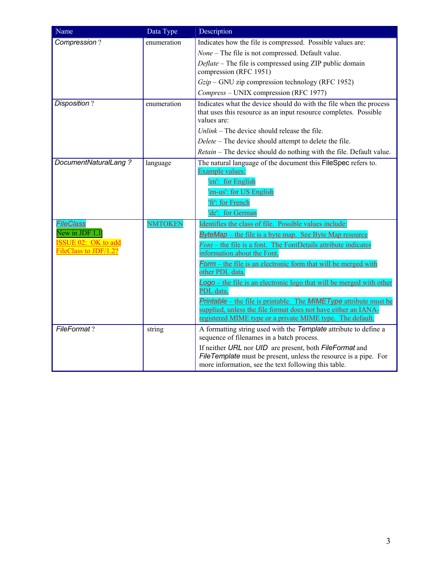| Name                                         | Data Type      | Description                                                                                                                                           |
|----------------------------------------------|----------------|-------------------------------------------------------------------------------------------------------------------------------------------------------|
| Compression?                                 | enumeration    | Indicates how the file is compressed. Possible values are:                                                                                            |
|                                              |                | None - The file is not compressed. Default value.                                                                                                     |
|                                              |                | Deflate – The file is compressed using ZIP public domain<br>compression (RFC 1951)                                                                    |
|                                              |                | $Gzip$ – GNU zip compression technology (RFC 1952)                                                                                                    |
|                                              |                | Compress - UNIX compression (RFC 1977)                                                                                                                |
| Disposition?                                 | enumeration    | Indicates what the device should do with the file when the process<br>that uses this resource as an input resource completes. Possible<br>values are: |
|                                              |                | $Unlink$ – The device should release the file.                                                                                                        |
|                                              |                | Delete - The device should attempt to delete the file.                                                                                                |
|                                              |                | Retain - The device should do nothing with the file. Default value.                                                                                   |
| DocumentNaturalLang?                         | language       | The natural language of the document this FileSpec refers to.<br>Example values:                                                                      |
|                                              |                | 'en': for English                                                                                                                                     |
|                                              |                | 'en-us': for US English                                                                                                                               |
|                                              |                | 'fr': for French                                                                                                                                      |
|                                              |                | 'de': for German                                                                                                                                      |
| <b>FileClass</b>                             | <b>NMTOKEN</b> | Identifies the class of file. Possible values include:                                                                                                |
| New in JDF 1.1<br><b>ISSUE 02: OK to add</b> |                | <b>ByteMap</b> – the file is a byte map. See Byte Map resource                                                                                        |
| FileClass to JDF/1.2?                        |                | Font – the file is a font. The FontDetails attribute indicates<br>information about the Font.                                                         |
|                                              |                | Form – the file is an electronic form that will be merged with<br>other PDL data.                                                                     |
|                                              |                | Logo – the file is an electronic logo that will be merged with other<br>PDL data.                                                                     |
|                                              |                | Printable – the file is printable. The MIMEType attribute must be<br>supplied, unless the file format does not have either an IANA-                   |
|                                              |                | registered MIME type or a private MIME type. The default.                                                                                             |
| FileFormat?                                  | string         | A formatting string used with the Template attribute to define a<br>sequence of filenames in a batch process.                                         |
|                                              |                | If neither URL nor UID are present, both FileFormat and                                                                                               |
|                                              |                | FileTemplate must be present, unless the resource is a pipe. For                                                                                      |
|                                              |                | more information, see the text following this table.                                                                                                  |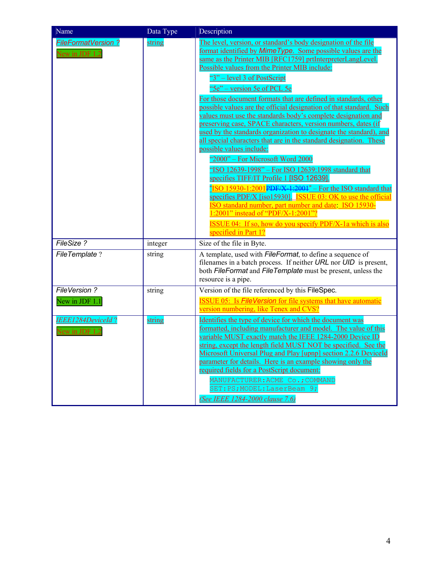| Name                                         | Data Type | Description                                                                                                                                                                                                                                                                                                                                                                                                                                                                                                                                                                                                                                                                                                                                                                                                                                                                                                                                                                                                                                                                                                                                                                                                                      |
|----------------------------------------------|-----------|----------------------------------------------------------------------------------------------------------------------------------------------------------------------------------------------------------------------------------------------------------------------------------------------------------------------------------------------------------------------------------------------------------------------------------------------------------------------------------------------------------------------------------------------------------------------------------------------------------------------------------------------------------------------------------------------------------------------------------------------------------------------------------------------------------------------------------------------------------------------------------------------------------------------------------------------------------------------------------------------------------------------------------------------------------------------------------------------------------------------------------------------------------------------------------------------------------------------------------|
| <u>FileFormatVersion ?</u><br>New in JDF 1.2 | string    | The level, version, or standard's body designation of the file<br>format identified by Mime Type. Some possible values are the<br>same as the Printer MIB [RFC1759] prtInterpreterLangLevel.<br>Possible values from the Printer MIB include:<br>"3" – level 3 of PostScript<br>"5e" – version 5e of PCL 5e<br>For those document formats that are defined in standards, other<br>possible values are the official designation of that standard. Such<br>values must use the standards body's complete designation and<br>preserving case, SPACE characters, version numbers, dates (if<br>used by the standards organization to designate the standard), and<br>all special characters that are in the standard designation. These<br>possible values include:<br>"2000" - For Microsoft Word 2000<br>"ISO 12639-1998" - For ISO 12639:1998 standard that<br>specifies TIFF/IT Profile 1 [ISO 12639].<br>"ISO 15930-1:2001PDF/X-1:2001" - For the ISO standard that<br>specifies PDF/X [iso15930]. ISSUE 03: OK to use the official<br>ISO standard number, part number and date: ISO 15930-<br>1:2001" instead of "PDF/X-1:2001"?<br><b>ISSUE 04:</b> If so, how do you specify PDF/X-1a which is also<br>specified in Part 1? |
| FileSize?                                    | integer   | Size of the file in Byte.                                                                                                                                                                                                                                                                                                                                                                                                                                                                                                                                                                                                                                                                                                                                                                                                                                                                                                                                                                                                                                                                                                                                                                                                        |
| FileTemplate?                                | string    | A template, used with <i>FileFormat</i> , to define a sequence of<br>filenames in a batch process. If neither URL nor UID is present,<br>both FileFormat and FileTemplate must be present, unless the<br>resource is a pipe.                                                                                                                                                                                                                                                                                                                                                                                                                                                                                                                                                                                                                                                                                                                                                                                                                                                                                                                                                                                                     |
| FileVersion?                                 | string    | Version of the file referenced by this FileSpec.                                                                                                                                                                                                                                                                                                                                                                                                                                                                                                                                                                                                                                                                                                                                                                                                                                                                                                                                                                                                                                                                                                                                                                                 |
| New in JDF 1.1                               |           | ISSUE 05: Is FileVersion for file systems that have automatic<br>version numbering, like Tenex and CVS?                                                                                                                                                                                                                                                                                                                                                                                                                                                                                                                                                                                                                                                                                                                                                                                                                                                                                                                                                                                                                                                                                                                          |
| IEEE1284DeviceId?<br>New in JDF 1            | string    | Identifies the type of device for which the document was<br>formatted, including manufacturer and model. The value of this<br>variable MUST exactly match the IEEE 1284-2000 Device ID<br>string, except the length field MUST NOT be specified. See the<br>Microsoft Universal Plug and Play [upnp] section 2.2.6 DeviceId<br>parameter for details. Here is an example showing only the<br>required fields for a PostScript document:<br>MANUFACTURER: ACME Co.; COMMAND<br>SET: PS; MODEL: LaserBeam 9;<br>(See IEEE 1284-2000 clause 7.6)                                                                                                                                                                                                                                                                                                                                                                                                                                                                                                                                                                                                                                                                                    |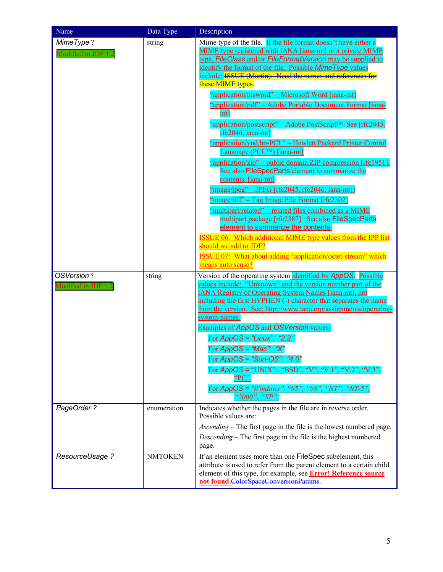| Name                              | Data Type      | Description                                                                                                                                                                                                                                                                                                                                                                                                                                                                                                                                                                                                                                                                                                                                                                                                                                                                                                                                                                                                                                                           |
|-----------------------------------|----------------|-----------------------------------------------------------------------------------------------------------------------------------------------------------------------------------------------------------------------------------------------------------------------------------------------------------------------------------------------------------------------------------------------------------------------------------------------------------------------------------------------------------------------------------------------------------------------------------------------------------------------------------------------------------------------------------------------------------------------------------------------------------------------------------------------------------------------------------------------------------------------------------------------------------------------------------------------------------------------------------------------------------------------------------------------------------------------|
| MimeType?<br>Modified in JDF 1.2  | string         | Mime type of the file. If the file format doesn't have either a<br>MIME type registered with IANA [iana-mt] or a private MIME<br>type, FileClass and/or FileFormatVersion may be supplied to<br>identify the format of the file. Possible Mime Type values<br>include: ISSUE (Martin): Need the names and references for<br>these MIME types.<br>"application/msword" – Microsoft Word [iana-mt]<br>"application/pdf" – Adobe Portable Document Format [iana-<br>mt]<br>"application/postscript" – Adobe PostScript <sup>™</sup> See [rfc2045,<br>rfc2046, iana-mt]<br>"application/vnd.hp-PCL" - Hewlett Packard Printer Control<br>Language (PCL™) [iana-mt]<br>"application/zip" – public domain ZIP compression [rfc1951].<br>See also FileSpecParts element to summarize the<br>contents. [iana-mt]<br>"image/jpeg" – JPEG [rfc2045, rfc2046, iana-mt]]<br>"image/tiff" – Tag Image File Format [rfc2302]<br>"multipart/related" – related files combined as a MIME<br>multipart package [rfc2387]. See also FileSpecParts<br>element to summarize the contents. |
|                                   |                | <b>ISSUE 06:</b> Which additional MIME type values from the IPP list<br>should we add to JDF?<br><b>ISSUE 07:</b> What about adding "application/octet-stream" which<br>means auto sense?                                                                                                                                                                                                                                                                                                                                                                                                                                                                                                                                                                                                                                                                                                                                                                                                                                                                             |
| OSVersion?<br>Modified in JDF 1.2 | string         | Version of the operating system identified by AppOS. Possible<br>values include: "Unknown" and the version number part of the<br><b>IANA Registry of Operating System Names [iana-mt], not</b><br>including the first HYPHEN (-) character that separates the name<br>from the version. See: http://www.iana.org/assignments/operating-<br>system-names.<br>Examples of AppOS and OSVersion values:<br>For AppOS = "Linux": "2.2."<br>For AppOS = "Mac": " $X$ "<br>For $AppOS = "Sun-OS": "4.0"$<br>For $AppOS = "UNIX"$ : "BSD", "V", "V.1<br>". " $V.2$ ". " $V.3$ "<br>$\rm ^{4}PC$ .<br>For $AppOS = "Windows" : "95", "98",$<br>$"NT"$ .<br>$\gamma$ NT-5".<br>"2000", " $XP$ "                                                                                                                                                                                                                                                                                                                                                                                 |
| PageOrder ?                       | enumeration    | Indicates whether the pages in the file are in reverse order.<br>Possible values are:<br>Ascending – The first page in the file is the lowest numbered page.<br>Descending – The first page in the file is the highest numbered                                                                                                                                                                                                                                                                                                                                                                                                                                                                                                                                                                                                                                                                                                                                                                                                                                       |
| ResourceUsage ?                   | <b>NMTOKEN</b> | page.<br>If an element uses more than one FileSpec subelement, this<br>attribute is used to refer from the parent element to a certain child<br>element of this type, for example, see <b>Error! Reference source</b><br>not found. ColorSpaceConversionParams.                                                                                                                                                                                                                                                                                                                                                                                                                                                                                                                                                                                                                                                                                                                                                                                                       |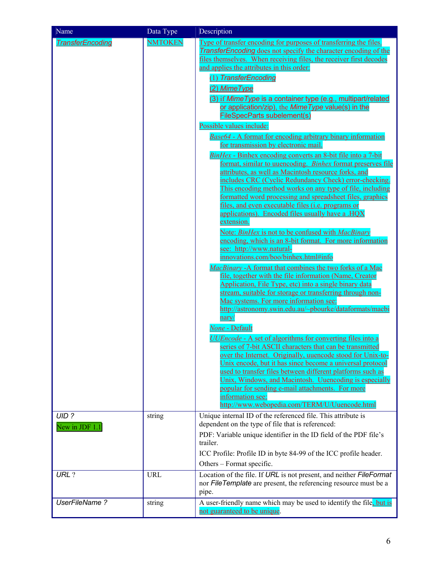| Name                      | Data Type      | Description                                                                                                                                                                                                                                                                                                                                                                                                                                                                                                                                                                                                                                                                                                                                                                                                                                                                                                                                                                                                                                                                                                                                                                                                                                                                                                                                                                                                                                                                                                                                                                                                                                                                                                                                                                                                                                                                                                                                                             |
|---------------------------|----------------|-------------------------------------------------------------------------------------------------------------------------------------------------------------------------------------------------------------------------------------------------------------------------------------------------------------------------------------------------------------------------------------------------------------------------------------------------------------------------------------------------------------------------------------------------------------------------------------------------------------------------------------------------------------------------------------------------------------------------------------------------------------------------------------------------------------------------------------------------------------------------------------------------------------------------------------------------------------------------------------------------------------------------------------------------------------------------------------------------------------------------------------------------------------------------------------------------------------------------------------------------------------------------------------------------------------------------------------------------------------------------------------------------------------------------------------------------------------------------------------------------------------------------------------------------------------------------------------------------------------------------------------------------------------------------------------------------------------------------------------------------------------------------------------------------------------------------------------------------------------------------------------------------------------------------------------------------------------------------|
| <b>TransferEncoding</b>   | <b>NMTOKEN</b> | <u>Type of transfer encoding for purposes of transferring the files.</u><br><b>TransferEncoding</b> does not specify the character encoding of the<br>files themselves. When receiving files, the receiver first decodes<br>and applies the attributes in this order:<br>(1) TransferEncoding<br>(2) Mime Type<br>(3) if Mime Type is a container type (e.g., multipart/related<br>or application/zip), the Mime Type value(s) in the<br><b>FileSpecParts subelement(s)</b><br>Possible values include:<br><b>Base64 - A format for encoding arbitrary binary information</b><br>for transmission by electronic mail.<br><i>BinHex</i> - Binhex encoding converts an 8-bit file into a 7-bit<br>format, similar to uuencoding. Binhex format preserves file<br>attributes, as well as Macintosh resource forks, and<br>includes CRC (Cyclic Redundancy Check) error-checking.<br>This encoding method works on any type of file, including<br>formatted word processing and spreadsheet files, graphics<br>files, and even executable files ( <i>i.e.</i> programs or<br>applications). Encoded files usually have a .HOX<br>extension.<br>Note: BinHex is not to be confused with MacBinary<br>encoding, which is an 8-bit format. For more information<br>see: http://www.natural-<br>innovations.com/boo/binhex.html#info<br>MacBinary - A format that combines the two forks of a Mac<br>file, together with the file information (Name, Creator<br>Application, File Type, etc) into a single binary data<br>stream, suitable for storage or transferring through non-<br>Mac systems. For more information see:<br>http://astronomy.swin.edu.au/~pbourke/dataformats/macbi<br>nary/<br>None - Default<br><b>UUEncode - A set of algorithms for converting files into a</b><br>series of 7-bit ASCII characters that can be transmitted<br>over the Internet. Originally, uuencode stood for Unix-to-<br>Unix encode, but it has since become a universal protocol |
|                           |                | used to transfer files between different platforms such as<br>Unix, Windows, and Macintosh. Uuencoding is especially<br>popular for sending e-mail attachments. For more<br>information see:<br>http://www.webopedia.com/TERM/U/Uuencode.html                                                                                                                                                                                                                                                                                                                                                                                                                                                                                                                                                                                                                                                                                                                                                                                                                                                                                                                                                                                                                                                                                                                                                                                                                                                                                                                                                                                                                                                                                                                                                                                                                                                                                                                           |
| $UID$ ?<br>New in JDF 1.1 | string         | Unique internal ID of the referenced file. This attribute is<br>dependent on the type of file that is referenced:<br>PDF: Variable unique identifier in the ID field of the PDF file's<br>trailer.<br>ICC Profile: Profile ID in byte 84-99 of the ICC profile header.<br>Others – Format specific.                                                                                                                                                                                                                                                                                                                                                                                                                                                                                                                                                                                                                                                                                                                                                                                                                                                                                                                                                                                                                                                                                                                                                                                                                                                                                                                                                                                                                                                                                                                                                                                                                                                                     |
| URL ?                     | <b>URL</b>     | Location of the file. If URL is not present, and neither FileFormat<br>nor FileTemplate are present, the referencing resource must be a<br>pipe.                                                                                                                                                                                                                                                                                                                                                                                                                                                                                                                                                                                                                                                                                                                                                                                                                                                                                                                                                                                                                                                                                                                                                                                                                                                                                                                                                                                                                                                                                                                                                                                                                                                                                                                                                                                                                        |
| <b>UserFileName?</b>      | string         | A user-friendly name which may be used to identify the file, but is<br>not guaranteed to be unique.                                                                                                                                                                                                                                                                                                                                                                                                                                                                                                                                                                                                                                                                                                                                                                                                                                                                                                                                                                                                                                                                                                                                                                                                                                                                                                                                                                                                                                                                                                                                                                                                                                                                                                                                                                                                                                                                     |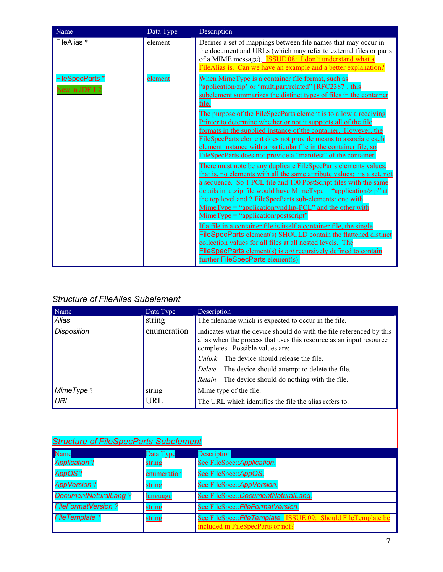| Name                                    | Data Type      | Description                                                                                                                                                                                                                                                                                                                                                                                                                                                                                                                                                                                                                                                                                                                                                                                                                                                                                                                                                                                                                                                                                                                                                                                                                                                                                                                                                                                         |
|-----------------------------------------|----------------|-----------------------------------------------------------------------------------------------------------------------------------------------------------------------------------------------------------------------------------------------------------------------------------------------------------------------------------------------------------------------------------------------------------------------------------------------------------------------------------------------------------------------------------------------------------------------------------------------------------------------------------------------------------------------------------------------------------------------------------------------------------------------------------------------------------------------------------------------------------------------------------------------------------------------------------------------------------------------------------------------------------------------------------------------------------------------------------------------------------------------------------------------------------------------------------------------------------------------------------------------------------------------------------------------------------------------------------------------------------------------------------------------------|
| FileAlias *                             | element        | Defines a set of mappings between file names that may occur in<br>the document and URLs (which may refer to external files or parts<br>of a MIME message). <b>ISSUE 08:</b> I don't understand what a<br>FileAlias is. Can we have an example and a better explanation?                                                                                                                                                                                                                                                                                                                                                                                                                                                                                                                                                                                                                                                                                                                                                                                                                                                                                                                                                                                                                                                                                                                             |
| <b>FileSpecParts*</b><br>New in JDF 1.2 | <u>element</u> | When MimeType is a container file format, such as<br>"application/zip' or "multipart/related" [RFC2387], this<br>subelement summarizes the distinct types of files in the container<br>file.<br>The purpose of the FileSpecParts element is to allow a receiving<br>Printer to determine whether or not it supports all of the file<br>formats in the supplied instance of the container. However, the<br>FileSpecParts element does not provide means to associate each<br>element instance with a particular file in the container file, so<br>FileSpecParts does not provide a "manifest" of the container.<br>There must note be any duplicate FileSpecParts elements values,<br>that is, no elements with all the same attribute values; its a set, not<br>a sequence. So 1 PCL file and 100 PostScript files with the same<br>details in a .zip file would have MimeType = "application/zip" at<br>the top level and 2 FileSpecParts sub-elements: one with<br>$MimeType = "application/vnd.hp- PCL"$ and the other with<br>$MimeType = "application/postscript"$<br>If a file in a container file is itself a container file, the single<br><b>FileSpecParts element(s) SHOULD contain the flattened distinct</b><br>collection values for all files at all nested levels. The<br><b>FileSpecParts element(s) is not recursively defined to contain</b><br>further FileSpecParts element(s). |

## *Structure of FileAlias Subelement*

| Name               | Data Type                                                                                                                                                                                     | Description                                                 |  |
|--------------------|-----------------------------------------------------------------------------------------------------------------------------------------------------------------------------------------------|-------------------------------------------------------------|--|
| Alias              | string                                                                                                                                                                                        | The filename which is expected to occur in the file.        |  |
| <b>Disposition</b> | enumeration<br>Indicates what the device should do with the file referenced by this<br>alias when the process that uses this resource as an input resource<br>completes. Possible values are: |                                                             |  |
|                    |                                                                                                                                                                                               | Unlink – The device should release the file.                |  |
|                    |                                                                                                                                                                                               | Delete – The device should attempt to delete the file.      |  |
|                    |                                                                                                                                                                                               | <i>Retain</i> – The device should do nothing with the file. |  |
| MimeType?          | string                                                                                                                                                                                        | Mime type of the file.                                      |  |
| <b>URL</b>         | URL                                                                                                                                                                                           | The URL which identifies the file the alias refers to.      |  |

## *Structure of FileSpecParts Subelement*

| <b>Name</b>               | Data Type   | <b>Description</b>                                                                                 |
|---------------------------|-------------|----------------------------------------------------------------------------------------------------|
| <b>Application?</b>       | string      | See FileSpec:: Application.                                                                        |
| <b>AppOS?</b>             | enumeration | See FileSpec:: AppOS.                                                                              |
| <b>AppVersion?</b>        | string      | See FileSpec:: AppVersion.                                                                         |
| DocumentNaturalLang?      | language    | See FileSpec::DocumentNaturalLang.                                                                 |
| <b>FileFormatVersion?</b> | string      | See FileSpec:: FileFormatVersion.                                                                  |
| <b>FileTemplate?</b>      | string      | See FileSpec:: FileTemplate. ISSUE 09: Should FileTemplate be<br>included in FileSpecParts or not? |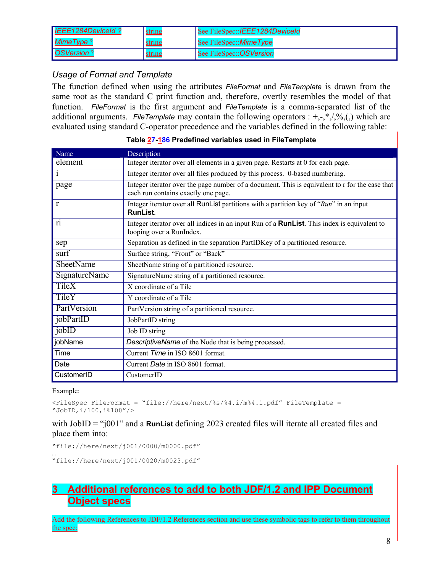| IEEE1284DeviceId? | <u>string</u> | See FileSpec:: <i>IEEE1284DeviceId</i> |
|-------------------|---------------|----------------------------------------|
| MimeType?         | string        | See FileSpec:: <i>MimeType</i>         |
| <b>OSVersion?</b> | string        | See FileSpec:: OSVersion               |

### *Usage of Format and Template*

The function defined when using the attributes *FileFormat* and *FileTemplate* is drawn from the same root as the standard C print function and, therefore, overtly resembles the model of that function. *FileFormat* is the first argument and *FileTemplate* is a comma-separated list of the additional arguments. *FileTemplate* may contain the following operators  $: +,-, *, ',\%$ <sub>0</sub>, which are evaluated using standard C-operator precedence and the variables defined in the following table:

| Name                 | Description                                                                                                                           |
|----------------------|---------------------------------------------------------------------------------------------------------------------------------------|
| element              | Integer iterator over all elements in a given page. Restarts at 0 for each page.                                                      |
| $\mathbf{1}$         | Integer iterator over all files produced by this process. 0-based numbering.                                                          |
| page                 | Integer iterator over the page number of a document. This is equivalent to r for the case that<br>each run contains exactly one page. |
| r                    | Integer iterator over all RunList partitions with a partition key of "Run" in an input<br><b>RunList.</b>                             |
| r <sub>1</sub>       | Integer iterator over all indices in an input Run of a <b>RunList</b> . This index is equivalent to<br>looping over a RunIndex.       |
| sep                  | Separation as defined in the separation PartIDKey of a partitioned resource.                                                          |
| surf                 | Surface string, "Front" or "Back"                                                                                                     |
| <b>SheetName</b>     | SheetName string of a partitioned resource.                                                                                           |
| <b>SignatureName</b> | SignatureName string of a partitioned resource.                                                                                       |
| <b>TileX</b>         | X coordinate of a Tile                                                                                                                |
| TileY                | Y coordinate of a Tile                                                                                                                |
| PartVersion          | PartVersion string of a partitioned resource.                                                                                         |
| jobPartID            | JobPartID string                                                                                                                      |
| jobID                | Job ID string                                                                                                                         |
| jobName              | DescriptiveName of the Node that is being processed.                                                                                  |
| Time                 | Current Time in ISO 8601 format.                                                                                                      |
| Date                 | Current Date in ISO 8601 format.                                                                                                      |
| CustomerID           | CustomerID                                                                                                                            |

#### **Table 27-186 Predefined variables used in FileTemplate**

#### Example:

```
<FileSpec FileFormat = "file://here/next/%s/%4.i/m%4.i.pdf" FileTemplate = 
"JobID,i/100,i%100"/>
```
### with JobID = "j001" and a **RunList** defining 2023 created files will iterate all created files and place them into:

"file://here/next/j001/0000/m0000.pdf"

… "file://here/next/j001/0020/m0023.pdf"

# **3 Additional references to add to both JDF/1.2 and IPP Document Object specs**

Add the following References to JDF/1.2 References section and use these symbolic tags to refer to them throughout the spec: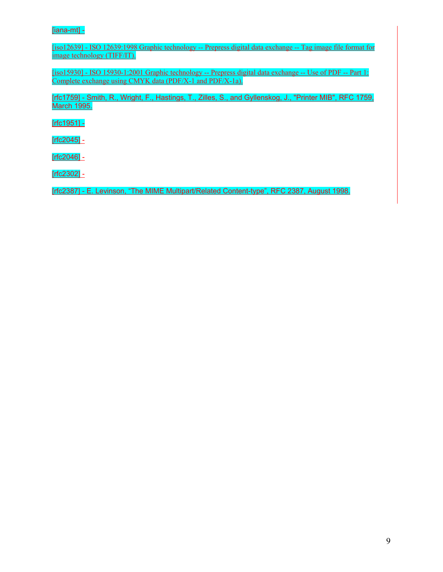#### [iana-mt] -

[iso12639] - ISO 12639:1998 Graphic technology -- Prepress digital data exchange -- Tag image file format for image technology (TIFF/IT).

[iso15930] - ISO 15930-1:2001 Graphic technology -- Prepress digital data exchange -- Use of PDF -- Part 1: Complete exchange using CMYK data (PDF/X-1 and PDF/X-1a).

[rfc1759] - Smith, R., Wright, F., Hastings, T., Zilles, S., and Gyllenskog, J., "Printer MIB", RFC 1759, March 1995.

[rfc1951] -

 $[rfc2045] -$ 

[rfc2046] -

[rfc2302] -

[rfc2387] - E. Levinson, "The MIME Multipart/Related Content-type", RFC 2387, August 1998.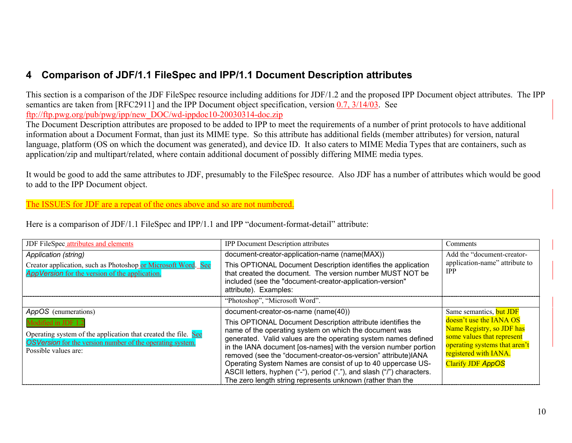# **4 Comparison of JDF/1.1 FileSpec and IPP/1.1 Document Description attributes**

This section is a comparison of the JDF FileSpec resource including additions for JDF/1.2 and the proposed IPP Document object attributes. The IPP semantics are taken from [RFC2911] and the IPP Document object specification, version 0.7, 3/14/03. See ftp://ftp.pwg.org/pub/pwg/ipp/new\_DOC/wd-ippdoc10-20030314-doc.zip

The Document Description attributes are proposed to be added to IPP to meet the requirements of a number of print protocols to have additional information about a Document Format, than just its MIME type. So this attribute has additional fields (member attributes) for version, natural language, platform (OS on which the document was generated), and device ID. It also caters to MIME Media Types that are containers, such as application/zip and multipart/related, where contain additional document of possibly differing MIME media types.

It would be good to add the same attributes to JDF, presumably to the FileSpec resource. Also JDF has a number of attributes which would be good to add to the IPP Document object.

### The ISSUES for JDF are a repeat of the ones above and so are not numbered.

Here is a comparison of JDF/1.1 FileSpec and IPP/1.1 and IPP "document-format-detail" attribute:

| JDF FileSpec attributes and elements                                                                                                                                                                      | <b>IPP Document Description attributes</b>                                                                                                                                                                                                                                                                                                                                                                                                                                                                                                                                 | Comments                                                                                                                                                                                            |
|-----------------------------------------------------------------------------------------------------------------------------------------------------------------------------------------------------------|----------------------------------------------------------------------------------------------------------------------------------------------------------------------------------------------------------------------------------------------------------------------------------------------------------------------------------------------------------------------------------------------------------------------------------------------------------------------------------------------------------------------------------------------------------------------------|-----------------------------------------------------------------------------------------------------------------------------------------------------------------------------------------------------|
| Application (string)<br>Creator application, such as Photoshop or Microsoft Word. See<br>AppVersion for the version of the application.                                                                   | document-creator-application-name (name(MAX))<br>This OPTIONAL Document Description identifies the application<br>that created the document. The version number MUST NOT be<br>included (see the "document-creator-application-version"<br>attribute). Examples:                                                                                                                                                                                                                                                                                                           | Add the "document-creator-<br>application-name" attribute to<br><b>IPP</b>                                                                                                                          |
|                                                                                                                                                                                                           | "Photoshop", "Microsoft Word".                                                                                                                                                                                                                                                                                                                                                                                                                                                                                                                                             |                                                                                                                                                                                                     |
| AppOS (enumerations)<br>Modified in JDF 1.2<br>Operating system of the application that created the file. See<br><b>OSVersion</b> for the version number of the operating system.<br>Possible values are: | document-creator-os-name (name(40))<br>This OPTIONAL Document Description attribute identifies the<br>name of the operating system on which the document was<br>generated. Valid values are the operating system names defined<br>in the IANA document [os-names] with the version number portion<br>removed (see the "document-creator-os-version" attribute)IANA<br>Operating System Names are consist of up to 40 uppercase US-<br>ASCII letters, hyphen ("-"), period ("."), and slash ("/") characters.<br>The zero length string represents unknown (rather than the | Same semantics, but JDF<br>doesn't use the IANA OS<br>Name Registry, so JDF has<br>some values that represent<br>operating systems that aren't<br>registered with IANA.<br><b>Clarify JDF AppOS</b> |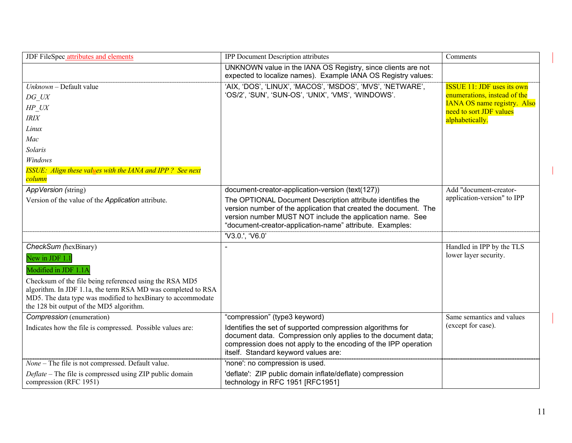| JDF FileSpec attributes and elements                                                                                        | <b>IPP Document Description attributes</b>                                                                                    | Comments                                                      |
|-----------------------------------------------------------------------------------------------------------------------------|-------------------------------------------------------------------------------------------------------------------------------|---------------------------------------------------------------|
|                                                                                                                             | UNKNOWN value in the IANA OS Registry, since clients are not<br>expected to localize names). Example IANA OS Registry values: |                                                               |
| Unknown - Default value                                                                                                     | 'AIX, 'DOS', 'LINUX', 'MACOS', 'MSDOS', 'MVS', 'NETWARE',                                                                     | <b>ISSUE</b> 11: JDF uses its own                             |
| DG UX                                                                                                                       | 'OS/2', 'SUN', 'SUN-OS', 'UNIX', 'VMS', 'WINDOWS'.                                                                            | enumerations, instead of the                                  |
| HP UX                                                                                                                       |                                                                                                                               | <b>IANA OS name registry. Also</b><br>need to sort JDF values |
| $\ensuremath{\textit{IRIX}}$                                                                                                |                                                                                                                               | alphabetically.                                               |
| Linux                                                                                                                       |                                                                                                                               |                                                               |
| Mac                                                                                                                         |                                                                                                                               |                                                               |
| Solaris                                                                                                                     |                                                                                                                               |                                                               |
| Windows                                                                                                                     |                                                                                                                               |                                                               |
| <b>ISSUE:</b> Align these values with the IANA and IPP? See next                                                            |                                                                                                                               |                                                               |
| <mark>column</mark><br>AppVersion (string)                                                                                  | document-creator-application-version (text(127))                                                                              | Add "document-creator-                                        |
|                                                                                                                             | The OPTIONAL Document Description attribute identifies the                                                                    | application-version" to IPP                                   |
| Version of the value of the Application attribute.                                                                          | version number of the application that created the document. The                                                              |                                                               |
|                                                                                                                             | version number MUST NOT include the application name. See                                                                     |                                                               |
|                                                                                                                             | "document-creator-application-name" attribute. Examples:                                                                      |                                                               |
|                                                                                                                             | 'V3.0.', 'V6.0'                                                                                                               |                                                               |
| CheckSum (hexBinary)                                                                                                        |                                                                                                                               | Handled in IPP by the TLS                                     |
| New in JDF 1.1                                                                                                              |                                                                                                                               | lower layer security.                                         |
| Modified in JDF 1.1A                                                                                                        |                                                                                                                               |                                                               |
| Checksum of the file being referenced using the RSA MD5                                                                     |                                                                                                                               |                                                               |
| algorithm. In JDF 1.1a, the term RSA MD was completed to RSA<br>MD5. The data type was modified to hexBinary to accommodate |                                                                                                                               |                                                               |
| the 128 bit output of the MD5 algorithm.                                                                                    |                                                                                                                               |                                                               |
| Compression (enumeration)                                                                                                   | "compression" (type3 keyword)                                                                                                 | Same semantics and values                                     |
| Indicates how the file is compressed. Possible values are:                                                                  | Identifies the set of supported compression algorithms for                                                                    | (except for case).                                            |
|                                                                                                                             | document data. Compression only applies to the document data;                                                                 |                                                               |
|                                                                                                                             | compression does not apply to the encoding of the IPP operation                                                               |                                                               |
|                                                                                                                             | itself. Standard keyword values are:                                                                                          |                                                               |
| None - The file is not compressed. Default value.                                                                           | 'none': no compression is used.                                                                                               |                                                               |
| Deflate – The file is compressed using ZIP public domain<br>compression (RFC 1951)                                          | 'deflate': ZIP public domain inflate/deflate) compression<br>technology in RFC 1951 [RFC1951]                                 |                                                               |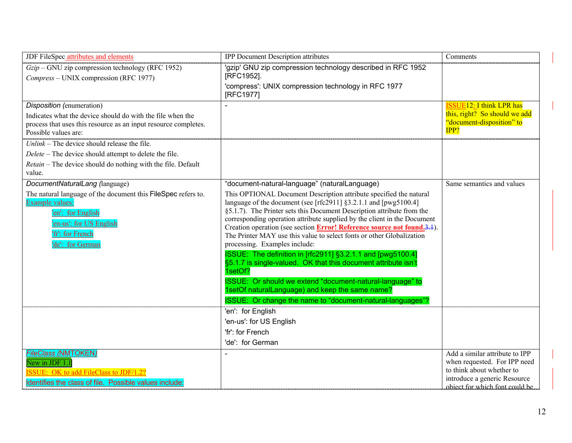| JDF FileSpec attributes and elements                                                                                                                                     | <b>IPP Document Description attributes</b>                                                                                                                                                                                                                                                                                                                                                                                                                                                                                                                                                                                                                                                                                                                                                                            | Comments                                                       |
|--------------------------------------------------------------------------------------------------------------------------------------------------------------------------|-----------------------------------------------------------------------------------------------------------------------------------------------------------------------------------------------------------------------------------------------------------------------------------------------------------------------------------------------------------------------------------------------------------------------------------------------------------------------------------------------------------------------------------------------------------------------------------------------------------------------------------------------------------------------------------------------------------------------------------------------------------------------------------------------------------------------|----------------------------------------------------------------|
| $Gzip$ – GNU zip compression technology (RFC 1952)                                                                                                                       | "gzip" GNU zip compression technology described in RFC 1952                                                                                                                                                                                                                                                                                                                                                                                                                                                                                                                                                                                                                                                                                                                                                           |                                                                |
| Compress – UNIX compression (RFC 1977)                                                                                                                                   | [RFC1952].                                                                                                                                                                                                                                                                                                                                                                                                                                                                                                                                                                                                                                                                                                                                                                                                            |                                                                |
|                                                                                                                                                                          | 'compress': UNIX compression technology in RFC 1977<br>[RFC1977]                                                                                                                                                                                                                                                                                                                                                                                                                                                                                                                                                                                                                                                                                                                                                      |                                                                |
| Disposition (enumeration)                                                                                                                                                |                                                                                                                                                                                                                                                                                                                                                                                                                                                                                                                                                                                                                                                                                                                                                                                                                       | <b>ISSUE12: I think LPR has</b>                                |
| Indicates what the device should do with the file when the                                                                                                               |                                                                                                                                                                                                                                                                                                                                                                                                                                                                                                                                                                                                                                                                                                                                                                                                                       | this, right? So should we add                                  |
| process that uses this resource as an input resource completes.                                                                                                          |                                                                                                                                                                                                                                                                                                                                                                                                                                                                                                                                                                                                                                                                                                                                                                                                                       | "document-disposition" to<br>IPP?                              |
| Possible values are:                                                                                                                                                     |                                                                                                                                                                                                                                                                                                                                                                                                                                                                                                                                                                                                                                                                                                                                                                                                                       |                                                                |
| $Unlike$ – The device should release the file.                                                                                                                           |                                                                                                                                                                                                                                                                                                                                                                                                                                                                                                                                                                                                                                                                                                                                                                                                                       |                                                                |
| Delete - The device should attempt to delete the file.                                                                                                                   |                                                                                                                                                                                                                                                                                                                                                                                                                                                                                                                                                                                                                                                                                                                                                                                                                       |                                                                |
| Retain - The device should do nothing with the file. Default<br>value.                                                                                                   |                                                                                                                                                                                                                                                                                                                                                                                                                                                                                                                                                                                                                                                                                                                                                                                                                       |                                                                |
| DocumentNaturalLang (language)                                                                                                                                           | "document-natural-language" (naturalLanguage)                                                                                                                                                                                                                                                                                                                                                                                                                                                                                                                                                                                                                                                                                                                                                                         | Same semantics and values                                      |
| The natural language of the document this FileSpec refers to.<br>Example values:<br>'en': for English<br>'en-us': for US English<br>'fr': for French<br>'de': for German | This OPTIONAL Document Description attribute specified the natural<br>language of the document (see [rfc2911] $§3.2.1.1$ and [pwg5100.4]<br>§5.1.7). The Printer sets this Document Description attribute from the<br>corresponding operation attribute supplied by the client in the Document<br>Creation operation (see section <b>Error! Reference source not found.3.1</b> ).<br>The Printer MAY use this value to select fonts or other Globalization<br>processing. Examples include:<br>ISSUE: The definition in [rfc2911] §3.2.1.1 and [pwg5100.4]<br>§5.1.7 is single-valued. OK that this document attribute isn't<br>1setOf?<br>ISSUE: Or should we extend "document-natural-language" to<br>1setOf naturalLanguage) and keep the same name?<br>ISSUE: Or change the name to "document-natural-languages"? |                                                                |
|                                                                                                                                                                          | 'en': for English                                                                                                                                                                                                                                                                                                                                                                                                                                                                                                                                                                                                                                                                                                                                                                                                     |                                                                |
|                                                                                                                                                                          | 'en-us': for US English                                                                                                                                                                                                                                                                                                                                                                                                                                                                                                                                                                                                                                                                                                                                                                                               |                                                                |
|                                                                                                                                                                          | 'fr': for French                                                                                                                                                                                                                                                                                                                                                                                                                                                                                                                                                                                                                                                                                                                                                                                                      |                                                                |
|                                                                                                                                                                          | 'de': for German                                                                                                                                                                                                                                                                                                                                                                                                                                                                                                                                                                                                                                                                                                                                                                                                      |                                                                |
| <b>FileClass (NMTOKEN)</b><br>New in JDF 1.1                                                                                                                             |                                                                                                                                                                                                                                                                                                                                                                                                                                                                                                                                                                                                                                                                                                                                                                                                                       | Add a similar attribute to IPP<br>when requested. For IPP need |
| <b>ISSUE:</b> OK to add FileClass to JDF/1.2?                                                                                                                            |                                                                                                                                                                                                                                                                                                                                                                                                                                                                                                                                                                                                                                                                                                                                                                                                                       | to think about whether to                                      |
| Identifies the class of file. Possible values include:                                                                                                                   |                                                                                                                                                                                                                                                                                                                                                                                                                                                                                                                                                                                                                                                                                                                                                                                                                       | introduce a generic Resource<br>object for which font could be |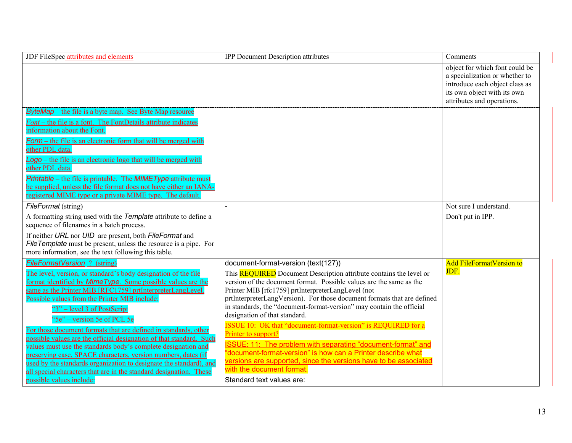| JDF FileSpec attributes and elements                                                                                                                                                                                                                                                                                                                                                                                                                                                                                                                                                                                                                                                                                                                                                                   | <b>IPP Document Description attributes</b>                                                                                                                                                                                                                                                                                                                                                                                                                                                                                                                                                                                                                                                                                                                                                     | Comments                                                                                                                                                        |
|--------------------------------------------------------------------------------------------------------------------------------------------------------------------------------------------------------------------------------------------------------------------------------------------------------------------------------------------------------------------------------------------------------------------------------------------------------------------------------------------------------------------------------------------------------------------------------------------------------------------------------------------------------------------------------------------------------------------------------------------------------------------------------------------------------|------------------------------------------------------------------------------------------------------------------------------------------------------------------------------------------------------------------------------------------------------------------------------------------------------------------------------------------------------------------------------------------------------------------------------------------------------------------------------------------------------------------------------------------------------------------------------------------------------------------------------------------------------------------------------------------------------------------------------------------------------------------------------------------------|-----------------------------------------------------------------------------------------------------------------------------------------------------------------|
|                                                                                                                                                                                                                                                                                                                                                                                                                                                                                                                                                                                                                                                                                                                                                                                                        |                                                                                                                                                                                                                                                                                                                                                                                                                                                                                                                                                                                                                                                                                                                                                                                                | object for which font could be<br>a specialization or whether to<br>introduce each object class as<br>its own object with its own<br>attributes and operations. |
| <b>ByteMap</b> – the file is a byte map. See Byte Map resource<br>Font – the file is a font. The FontDetails attribute indicates<br>information about the Font.<br>Form – the file is an electronic form that will be merged with<br>other PDL data.<br>$\angle$ Logo – the file is an electronic logo that will be merged with<br>other PDL data.<br><b>Printable</b> – the file is printable. The <b>MIMEType</b> attribute must<br>be supplied, unless the file format does not have either an IANA-<br>registered MIME type or a private MIME type. The default.                                                                                                                                                                                                                                   |                                                                                                                                                                                                                                                                                                                                                                                                                                                                                                                                                                                                                                                                                                                                                                                                |                                                                                                                                                                 |
| FileFormat (string)<br>A formatting string used with the Template attribute to define a<br>sequence of filenames in a batch process.<br>If neither URL nor UID are present, both FileFormat and<br>FileTemplate must be present, unless the resource is a pipe. For<br>more information, see the text following this table.                                                                                                                                                                                                                                                                                                                                                                                                                                                                            | $\sim$                                                                                                                                                                                                                                                                                                                                                                                                                                                                                                                                                                                                                                                                                                                                                                                         | Not sure I understand.<br>Don't put in IPP.                                                                                                                     |
| FileFormatVersion ? (string)<br>The level, version, or standard's body designation of the file<br>format identified by <i>MimeType</i> . Some possible values are the<br>same as the Printer MIB [RFC1759] prtInterpreterLangLevel.<br>Possible values from the Printer MIB include:<br>"3" – level 3 of PostScript<br>"Se" – version 5e of PCL 5e<br>For those document formats that are defined in standards, other<br>possible values are the official designation of that standard. Such<br>values must use the standards body's complete designation and<br>preserving case, SPACE characters, version numbers, dates (if<br>used by the standards organization to designate the standard), and<br>all special characters that are in the standard designation. These<br>possible values include: | document-format-version (text(127))<br>This <b>REQUIRED</b> Document Description attribute contains the level or<br>version of the document format. Possible values are the same as the<br>Printer MIB [rfc1759] prtInterpreterLangLevel (not<br>prtInterpreterLangVersion). For those document formats that are defined<br>in standards, the "document-format-version" may contain the official<br>designation of that standard.<br><b>ISSUE 10: OK that "document-format-version" is REQUIRED for a</b><br>Printer to support?<br>ISSUE: 11: The problem with separating "document-format" and<br>"document-format-version" is how can a Printer describe what<br>versions are supported, since the versions have to be associated<br>with the document format.<br>Standard text values are: | <b>Add FileFormatVersion to</b><br>JDF.                                                                                                                         |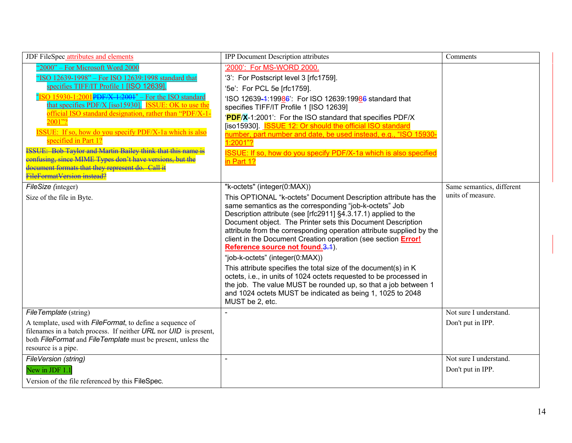| JDF FileSpec attributes and elements                                                                                                                                                                                                                                                                                                                                                                                                                                                                                                                                                                                                                              | <b>IPP Document Description attributes</b>                                                                                                                                                                                                                                                                                                                                                                                                                                                                                                                                                                                                                                                                                                                                                             | Comments                                       |
|-------------------------------------------------------------------------------------------------------------------------------------------------------------------------------------------------------------------------------------------------------------------------------------------------------------------------------------------------------------------------------------------------------------------------------------------------------------------------------------------------------------------------------------------------------------------------------------------------------------------------------------------------------------------|--------------------------------------------------------------------------------------------------------------------------------------------------------------------------------------------------------------------------------------------------------------------------------------------------------------------------------------------------------------------------------------------------------------------------------------------------------------------------------------------------------------------------------------------------------------------------------------------------------------------------------------------------------------------------------------------------------------------------------------------------------------------------------------------------------|------------------------------------------------|
| "2000" - For Microsoft Word 2000<br>"ISO 12639-1998" - For ISO 12639:1998 standard that<br>specifies TIFF/IT Profile 1 [ISO 12639].<br>SO 15930-1:2001 PDF/X 1:2001" - For the ISO standard<br>that specifies PDF/X [iso15930]. <b>ISSUE: OK</b> to use the<br>official ISO standard designation, rather than "PDF/X-1-<br>2001"?<br><b>ISSUE:</b> If so, how do you specify PDF/X-1a which is also<br>specified in Part 1?<br><b>ISSUE: Bob Taylor and Martin Bailey think that this name is</b><br><b>For the set of Setupe ATALE Types don't have versions, but the confusing, since MIME Types don't have versions, but the</b><br>FileFormatVersion-instead? | '2000': For MS-WORD 2000.<br>'3': For Postscript level 3 [rfc1759].<br>'5e': For PCL 5e [rfc1759].<br>'ISO 12639-4:19986': For ISO 12639:19986 standard that<br>specifies TIFF/IT Profile 1 [ISO 12639]<br>'PDF/X-1:2001': For the ISO standard that specifies PDF/X<br>[iso15930]. <b>ISSUE 12: Or should the official ISO standard</b><br>number, part number and date, be used instead, e.g., "ISO 15930-<br>1:2001"?<br>ISSUE: If so, how do you specify PDF/X-1a which is also specified<br>in Part 1?                                                                                                                                                                                                                                                                                            |                                                |
| FileSize (integer)<br>Size of the file in Byte.                                                                                                                                                                                                                                                                                                                                                                                                                                                                                                                                                                                                                   | "k-octets" (integer(0:MAX))<br>This OPTIONAL "k-octets" Document Description attribute has the<br>same semantics as the corresponding "job-k-octets" Job<br>Description attribute (see [rfc2911] §4.3.17.1) applied to the<br>Document object. The Printer sets this Document Description<br>attribute from the corresponding operation attribute supplied by the<br>client in the Document Creation operation (see section Error!<br>Reference source not found. 3.1).<br>"job-k-octets" (integer(0:MAX))<br>This attribute specifies the total size of the document(s) in K<br>octets, i.e., in units of 1024 octets requested to be processed in<br>the job. The value MUST be rounded up, so that a job between 1<br>and 1024 octets MUST be indicated as being 1, 1025 to 2048<br>MUST be 2, etc. | Same semantics, different<br>units of measure. |
| FileTemplate (string)<br>A template, used with <i>FileFormat</i> , to define a sequence of<br>filenames in a batch process. If neither URL nor UID is present,<br>both FileFormat and FileTemplate must be present, unless the<br>resource is a pipe.                                                                                                                                                                                                                                                                                                                                                                                                             |                                                                                                                                                                                                                                                                                                                                                                                                                                                                                                                                                                                                                                                                                                                                                                                                        | Not sure I understand.<br>Don't put in IPP.    |
| FileVersion (string)<br>New in JDF 1.1<br>Version of the file referenced by this FileSpec.                                                                                                                                                                                                                                                                                                                                                                                                                                                                                                                                                                        | $\blacksquare$                                                                                                                                                                                                                                                                                                                                                                                                                                                                                                                                                                                                                                                                                                                                                                                         | Not sure I understand.<br>Don't put in IPP.    |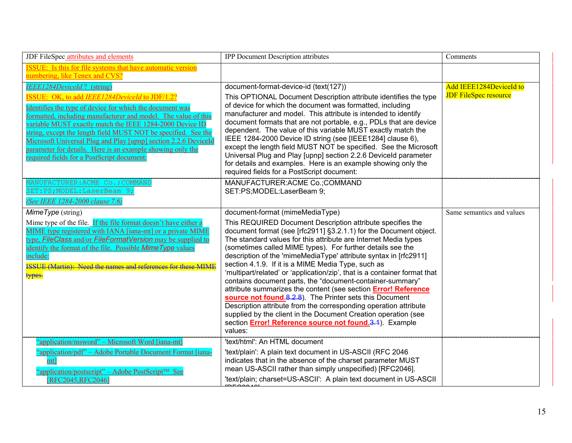| JDF FileSpec attributes and elements                                                                                                                                                                                                                                                                                                                                                                                                                                                      | <b>IPP Document Description attributes</b>                                                                                                                                                                                                                                                                                                                                                                                                                                                                                                                                                                                                                                                                                                                                                                                                                                                   | Comments                                                |
|-------------------------------------------------------------------------------------------------------------------------------------------------------------------------------------------------------------------------------------------------------------------------------------------------------------------------------------------------------------------------------------------------------------------------------------------------------------------------------------------|----------------------------------------------------------------------------------------------------------------------------------------------------------------------------------------------------------------------------------------------------------------------------------------------------------------------------------------------------------------------------------------------------------------------------------------------------------------------------------------------------------------------------------------------------------------------------------------------------------------------------------------------------------------------------------------------------------------------------------------------------------------------------------------------------------------------------------------------------------------------------------------------|---------------------------------------------------------|
| <b>ISSUE:</b> Is this for file systems that have automatic version<br>numbering, like Tenex and CVS?                                                                                                                                                                                                                                                                                                                                                                                      |                                                                                                                                                                                                                                                                                                                                                                                                                                                                                                                                                                                                                                                                                                                                                                                                                                                                                              |                                                         |
| <b>IEEE1284DeviceId?</b> (string)                                                                                                                                                                                                                                                                                                                                                                                                                                                         | document-format-device-id (text(127))                                                                                                                                                                                                                                                                                                                                                                                                                                                                                                                                                                                                                                                                                                                                                                                                                                                        | Add IEEE1284DeviceId to<br><b>JDF FileSpec resource</b> |
| ISSUE: OK, to add IEEE1284DeviceId to JDF/1.2?<br>Identifies the type of device for which the document was<br>formatted, including manufacturer and model. The value of this<br>variable MUST exactly match the IEEE 1284-2000 Device ID<br>string, except the length field MUST NOT be specified. See the<br>Microsoft Universal Plug and Play [upnp] section 2.2.6 DeviceId<br>parameter for details. Here is an example showing only the<br>required fields for a PostScript document: | This OPTIONAL Document Description attribute identifies the type<br>of device for which the document was formatted, including<br>manufacturer and model. This attribute is intended to identify<br>document formats that are not portable, e.g., PDLs that are device<br>dependent. The value of this variable MUST exactly match the<br>IEEE 1284-2000 Device ID string (see [IEEE1284] clause 6),<br>except the length field MUST NOT be specified. See the Microsoft<br>Universal Plug and Play [upnp] section 2.2.6 Deviceld parameter<br>for details and examples. Here is an example showing only the<br>required fields for a PostScript document:                                                                                                                                                                                                                                    |                                                         |
| MANUFACTURER: ACME Co.; COMMAND<br>SET: PS; MODEL: LaserBeam 9;<br>(See IEEE 1284-2000 clause 7.6)                                                                                                                                                                                                                                                                                                                                                                                        | MANUFACTURER: ACME Co.; COMMAND<br>SET:PS;MODEL:LaserBeam 9;                                                                                                                                                                                                                                                                                                                                                                                                                                                                                                                                                                                                                                                                                                                                                                                                                                 |                                                         |
| $MimeType$ (string)                                                                                                                                                                                                                                                                                                                                                                                                                                                                       | document-format (mimeMediaType)                                                                                                                                                                                                                                                                                                                                                                                                                                                                                                                                                                                                                                                                                                                                                                                                                                                              | Same semantics and values                               |
| Mime type of the file. If the file format doesn't have either a<br>MIME type registered with IANA [iana-mt] or a private MIME<br>type, FileClass and/or FileFormatVersion may be supplied to<br>identify the format of the file. Possible Mime Type values<br>include:<br><b>ISSUE (Martin): Need the names and references for these MIME</b><br>types.                                                                                                                                   | This REQUIRED Document Description attribute specifies the<br>document format (see [rfc2911] §3.2.1.1) for the Document object.<br>The standard values for this attribute are Internet Media types<br>(sometimes called MIME types). For further details see the<br>description of the 'mimeMediaType' attribute syntax in [rfc2911]<br>section 4.1.9. If it is a MIME Media Type, such as<br>'multipart/related' or 'application/zip', that is a container format that<br>contains document parts, the "document-container-summary"<br>attribute summarizes the content (see section <b>Error! Reference</b><br>source not found.8.2.8). The Printer sets this Document<br>Description attribute from the corresponding operation attribute<br>supplied by the client in the Document Creation operation (see<br>section <b>Error! Reference source not found.3.4</b> ). Example<br>values: |                                                         |
| "application/msword" – Microsoft Word [iana-mt]<br>"application/pdf" - Adobe Portable Document Format [iana-<br>mt]                                                                                                                                                                                                                                                                                                                                                                       | 'text/html': An HTML document<br>'text/plain': A plain text document in US-ASCII (RFC 2046<br>indicates that in the absence of the charset parameter MUST                                                                                                                                                                                                                                                                                                                                                                                                                                                                                                                                                                                                                                                                                                                                    |                                                         |
| "application/postscript" – Adobe PostScript <sup>™</sup> See<br>[RFC2045, RFC2046]                                                                                                                                                                                                                                                                                                                                                                                                        | mean US-ASCII rather than simply unspecified) [RFC2046].<br>'text/plain; charset=US-ASCII': A plain text document in US-ASCII                                                                                                                                                                                                                                                                                                                                                                                                                                                                                                                                                                                                                                                                                                                                                                |                                                         |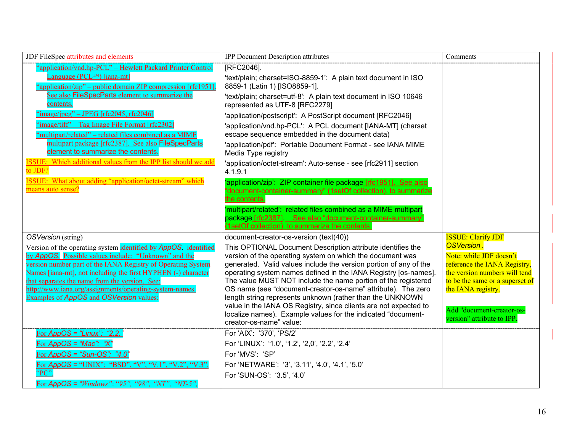| JDF FileSpec attributes and elements                                                                            | IPP Document Description attributes                                                                                              | Comments                                                         |
|-----------------------------------------------------------------------------------------------------------------|----------------------------------------------------------------------------------------------------------------------------------|------------------------------------------------------------------|
| "application/vnd.hp-PCL" - Hewlett Packard Printer Control                                                      | [RFC2046].                                                                                                                       |                                                                  |
| Language ( $PCL^{TM}$ ) [iana-mt]                                                                               | 'text/plain; charset=ISO-8859-1': A plain text document in ISO                                                                   |                                                                  |
| "application/zip" – public domain ZIP compression [rfc1951].                                                    | 8859-1 (Latin 1) [ISO8859-1].                                                                                                    |                                                                  |
| See also FileSpecParts element to summarize the<br>contents.                                                    | 'text/plain; charset=utf-8': A plain text document in ISO 10646<br>represented as UTF-8 [RFC2279]                                |                                                                  |
| $\frac{\text{image}}{\text{image}}$ = JPEG [rfc2045, rfc2046]                                                   | 'application/postscript': A PostScript document [RFC2046]                                                                        |                                                                  |
| 'image/tiff" – Tag Image File Format [rfc2302]                                                                  | 'application/vnd.hp-PCL': A PCL document [IANA-MT] (charset                                                                      |                                                                  |
| "multipart/related" – related files combined as a MIME                                                          | escape sequence embedded in the document data)                                                                                   |                                                                  |
| multipart package [rfc2387]. See also FileSpecParts<br>element to summarize the contents.                       | 'application/pdf': Portable Document Format - see IANA MIME<br>Media Type registry                                               |                                                                  |
| <b>ISSUE:</b> Which additional values from the IPP list should we add<br>to JDF?                                | 'application/octet-stream': Auto-sense - see [rfc2911] section<br>4.1.9.1                                                        |                                                                  |
| <b>ISSUE:</b> What about adding "application/octet-stream" which                                                | 'application/zip': ZIP container file package [rfc1951]. See also                                                                |                                                                  |
| means auto sense?                                                                                               | "document-container-summary" (1setOf collection). to summarize                                                                   |                                                                  |
|                                                                                                                 | the contents.                                                                                                                    |                                                                  |
|                                                                                                                 | 'multipart/related': related files combined as a MIME multipart                                                                  |                                                                  |
|                                                                                                                 | package [rfc2387]. See also "document-container-summary"<br>(1setOf collection). to summarize the contents.                      |                                                                  |
| OSVersion (string)                                                                                              | document-creator-os-version (text(40))                                                                                           | <b>ISSUE: Clarify JDF</b>                                        |
| Version of the operating system identified by <b>AppOS</b> identified                                           | This OPTIONAL Document Description attribute identifies the                                                                      | OSVersion.                                                       |
| by AppOS. Possible values include: "Unknown" and the                                                            | version of the operating system on which the document was                                                                        | Note: while JDF doesn't                                          |
| version number part of the IANA Registry of Operating System                                                    | generated. Valid values include the version portion of any of the                                                                | reference the IANA Registry,                                     |
| Names [iana-mt], not including the first HYPHEN (-) character<br>that separates the name from the version. See: | operating system names defined in the IANA Registry [os-names].<br>The value MUST NOT include the name portion of the registered | the version numbers will tend<br>to be the same or a superset of |
| http://www.iana.org/assignments/operating-system-names.                                                         | OS name (see "document-creator-os-name" attribute). The zero                                                                     | the IANA registry.                                               |
| Examples of AppOS and OSVersion values:                                                                         | length string represents unknown (rather than the UNKNOWN                                                                        |                                                                  |
|                                                                                                                 | value in the IANA OS Registry, since clients are not expected to                                                                 | Add "document-creator-os-                                        |
|                                                                                                                 | localize names). Example values for the indicated "document-<br>creator-os-name" value:                                          | version" attribute to IPP.                                       |
|                                                                                                                 |                                                                                                                                  |                                                                  |
| For $AppOS = "Linux": "2.2."$                                                                                   | For 'AIX': '370', 'PS/2'                                                                                                         |                                                                  |
| For $AppOS = "Mac": "X"$                                                                                        | For 'LINUX': '1.0', '1.2', '2,0', '2.2', '2.4'                                                                                   |                                                                  |
| For $AppOS = "Sun-OS" : "4.0"$                                                                                  | For 'MVS': 'SP'                                                                                                                  |                                                                  |
| For $AppOS = "UNIX"$ : "BSD", "V", "V.1", "V.2", "V.3",<br>PC"                                                  | For 'NETWARE': '3', '3.11', '4.0', '4.1', '5.0'                                                                                  |                                                                  |
|                                                                                                                 | For 'SUN-OS': '3.5', '4.0'                                                                                                       |                                                                  |
| For AppOS = "Windows": "95", "98", "NT", "NT-5",                                                                |                                                                                                                                  |                                                                  |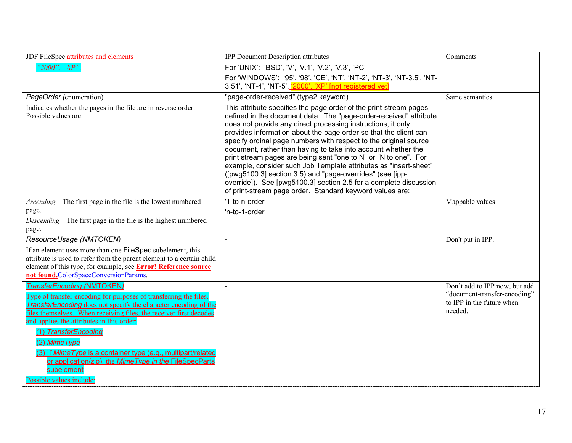| JDF FileSpec attributes and elements                                                                                                                                                                                                                           | <b>IPP</b> Document Description attributes                                                                                                                                                                                                                                                                                                                                                                                                                                                                                                                                                                                                                                                                                                           | Comments                                                             |
|----------------------------------------------------------------------------------------------------------------------------------------------------------------------------------------------------------------------------------------------------------------|------------------------------------------------------------------------------------------------------------------------------------------------------------------------------------------------------------------------------------------------------------------------------------------------------------------------------------------------------------------------------------------------------------------------------------------------------------------------------------------------------------------------------------------------------------------------------------------------------------------------------------------------------------------------------------------------------------------------------------------------------|----------------------------------------------------------------------|
| "2000", "XP".                                                                                                                                                                                                                                                  | For 'UNIX': 'BSD', 'V', 'V.1', 'V.2', 'V.3', 'PC'                                                                                                                                                                                                                                                                                                                                                                                                                                                                                                                                                                                                                                                                                                    |                                                                      |
|                                                                                                                                                                                                                                                                | For 'WINDOWS': '95', '98', 'CE', 'NT', 'NT-2', 'NT-3', 'NT-3.5', 'NT-<br>3.51', 'NT-4', 'NT-5', '2000', 'XP' [not registered yet]                                                                                                                                                                                                                                                                                                                                                                                                                                                                                                                                                                                                                    |                                                                      |
| PageOrder (enumeration)                                                                                                                                                                                                                                        | "page-order-received" (type2 keyword)                                                                                                                                                                                                                                                                                                                                                                                                                                                                                                                                                                                                                                                                                                                | Same semantics                                                       |
| Indicates whether the pages in the file are in reverse order.<br>Possible values are:                                                                                                                                                                          | This attribute specifies the page order of the print-stream pages<br>defined in the document data. The "page-order-received" attribute<br>does not provide any direct processing instructions, it only<br>provides information about the page order so that the client can<br>specify ordinal page numbers with respect to the original source<br>document, rather than having to take into account whether the<br>print stream pages are being sent "one to N" or "N to one". For<br>example, consider such Job Template attributes as "insert-sheet"<br>([pwg5100.3] section 3.5) and "page-overrides" (see [ipp-<br>override]). See [pwg5100.3] section 2.5 for a complete discussion<br>of print-stream page order. Standard keyword values are: |                                                                      |
| <i>Ascending</i> – The first page in the file is the lowest numbered                                                                                                                                                                                           | $'1$ -to-n-order'                                                                                                                                                                                                                                                                                                                                                                                                                                                                                                                                                                                                                                                                                                                                    | Mappable values                                                      |
| page.                                                                                                                                                                                                                                                          | 'n-to-1-order'                                                                                                                                                                                                                                                                                                                                                                                                                                                                                                                                                                                                                                                                                                                                       |                                                                      |
| Descending – The first page in the file is the highest numbered                                                                                                                                                                                                |                                                                                                                                                                                                                                                                                                                                                                                                                                                                                                                                                                                                                                                                                                                                                      |                                                                      |
| page.                                                                                                                                                                                                                                                          |                                                                                                                                                                                                                                                                                                                                                                                                                                                                                                                                                                                                                                                                                                                                                      |                                                                      |
| ResourceUsage (NMTOKEN)                                                                                                                                                                                                                                        |                                                                                                                                                                                                                                                                                                                                                                                                                                                                                                                                                                                                                                                                                                                                                      | Don't put in IPP.                                                    |
| If an element uses more than one FileSpec subelement, this                                                                                                                                                                                                     |                                                                                                                                                                                                                                                                                                                                                                                                                                                                                                                                                                                                                                                                                                                                                      |                                                                      |
| attribute is used to refer from the parent element to a certain child                                                                                                                                                                                          |                                                                                                                                                                                                                                                                                                                                                                                                                                                                                                                                                                                                                                                                                                                                                      |                                                                      |
| element of this type, for example, see <b>Error! Reference source</b><br>not found.ColorSpaceConversionParams.                                                                                                                                                 |                                                                                                                                                                                                                                                                                                                                                                                                                                                                                                                                                                                                                                                                                                                                                      |                                                                      |
| <b>TransferEncoding (NMTOKEN)</b>                                                                                                                                                                                                                              | $\sim$                                                                                                                                                                                                                                                                                                                                                                                                                                                                                                                                                                                                                                                                                                                                               | Don't add to IPP now, but add                                        |
| Type of transfer encoding for purposes of transferring the files.<br><b>TransferEncoding</b> does not specify the character encoding of the<br>files themselves. When receiving files, the receiver first decodes<br>and applies the attributes in this order: |                                                                                                                                                                                                                                                                                                                                                                                                                                                                                                                                                                                                                                                                                                                                                      | "document-transfer-encoding"<br>to IPP in the future when<br>needed. |
| (1) TransferEncoding<br>(2) Mime Type                                                                                                                                                                                                                          |                                                                                                                                                                                                                                                                                                                                                                                                                                                                                                                                                                                                                                                                                                                                                      |                                                                      |
| (3) if <i>Mime Type</i> is a container type (e.g., multipart/related<br>or application/zip), the Mime Type in the FileSpecParts<br>subelement                                                                                                                  |                                                                                                                                                                                                                                                                                                                                                                                                                                                                                                                                                                                                                                                                                                                                                      |                                                                      |
| Possible values include:                                                                                                                                                                                                                                       |                                                                                                                                                                                                                                                                                                                                                                                                                                                                                                                                                                                                                                                                                                                                                      |                                                                      |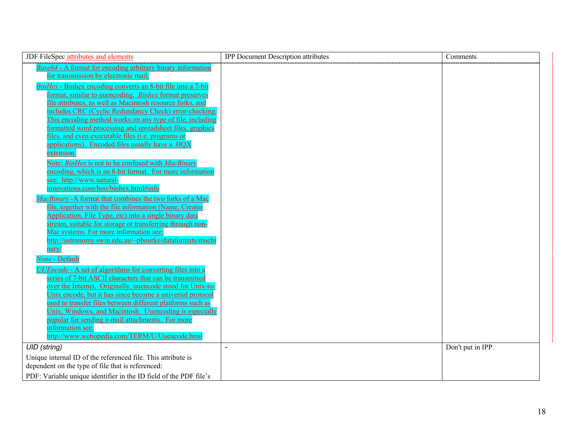| JDF FileSpec attributes and elements                                                                            | <b>IPP Document Description attributes</b> | Comments          |
|-----------------------------------------------------------------------------------------------------------------|--------------------------------------------|-------------------|
| Base64 - A format for encoding arbitrary binary information                                                     |                                            |                   |
| for transmission by electronic mail.                                                                            |                                            |                   |
| BinHex - Binhex encoding converts an 8-bit file into a 7-bit                                                    |                                            |                   |
| format, similar to uuencoding. Binhex format preserves                                                          |                                            |                   |
| file attributes, as well as Macintosh resource forks, and                                                       |                                            |                   |
| includes CRC (Cyclic Redundancy Check) error-checking.                                                          |                                            |                   |
| This encoding method works on any type of file, including                                                       |                                            |                   |
| formatted word processing and spreadsheet files, graphics<br>files, and even executable files (i.e. programs or |                                            |                   |
| applications). Encoded files usually have a .HOX                                                                |                                            |                   |
| extension.                                                                                                      |                                            |                   |
| Note: BinHex is not to be confused with MacBinary                                                               |                                            |                   |
| encoding, which is an 8-bit format. For more information                                                        |                                            |                   |
| see: http://www.natural-                                                                                        |                                            |                   |
| innovations.com/boo/binhex.html#info                                                                            |                                            |                   |
| MacBinary -A format that combines the two forks of a Mac                                                        |                                            |                   |
| file, together with the file information (Name, Creator                                                         |                                            |                   |
| Application, File Type, etc) into a single binary data                                                          |                                            |                   |
| stream, suitable for storage or transferring through non-                                                       |                                            |                   |
| Mac systems. For more information see:                                                                          |                                            |                   |
| http://astronomy.swin.edu.au/~pbourke/dataformats/macbi                                                         |                                            |                   |
| nary/                                                                                                           |                                            |                   |
| None - Default                                                                                                  |                                            |                   |
| UUEncode - A set of algorithms for converting files into a                                                      |                                            |                   |
| series of 7-bit ASCII characters that can be transmitted                                                        |                                            |                   |
| over the Internet. Originally, uuencode stood for Unix-to-                                                      |                                            |                   |
| Unix encode, but it has since become a universal protocol                                                       |                                            |                   |
| used to transfer files between different platforms such as                                                      |                                            |                   |
| Unix, Windows, and Macintosh. Uuencoding is especially<br>popular for sending e-mail attachments. For more      |                                            |                   |
| information see:                                                                                                |                                            |                   |
| http://www.webopedia.com/TERM/U/Uuencode.html                                                                   |                                            |                   |
| <b>UID</b> (string)                                                                                             |                                            | Don't put in IPP. |
| Unique internal ID of the referenced file. This attribute is                                                    |                                            |                   |
| dependent on the type of file that is referenced:                                                               |                                            |                   |
| PDF: Variable unique identifier in the ID field of the PDF file's                                               |                                            |                   |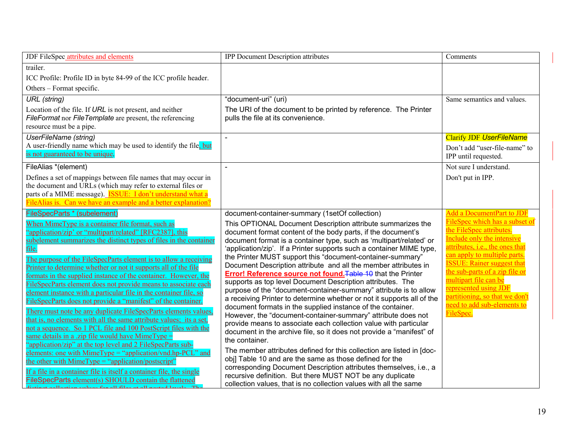| <b>IPP Document Description attributes</b>                                                                                                                                                                                                                                                                                                                                                                                                                                                                                                                                                                                                                                                                                                                                                                                                                                                                                                                                                                                                                                                                                                                                                     | Comments                                                                                                                                                                                                                                                                                                                                                          |
|------------------------------------------------------------------------------------------------------------------------------------------------------------------------------------------------------------------------------------------------------------------------------------------------------------------------------------------------------------------------------------------------------------------------------------------------------------------------------------------------------------------------------------------------------------------------------------------------------------------------------------------------------------------------------------------------------------------------------------------------------------------------------------------------------------------------------------------------------------------------------------------------------------------------------------------------------------------------------------------------------------------------------------------------------------------------------------------------------------------------------------------------------------------------------------------------|-------------------------------------------------------------------------------------------------------------------------------------------------------------------------------------------------------------------------------------------------------------------------------------------------------------------------------------------------------------------|
|                                                                                                                                                                                                                                                                                                                                                                                                                                                                                                                                                                                                                                                                                                                                                                                                                                                                                                                                                                                                                                                                                                                                                                                                |                                                                                                                                                                                                                                                                                                                                                                   |
|                                                                                                                                                                                                                                                                                                                                                                                                                                                                                                                                                                                                                                                                                                                                                                                                                                                                                                                                                                                                                                                                                                                                                                                                |                                                                                                                                                                                                                                                                                                                                                                   |
|                                                                                                                                                                                                                                                                                                                                                                                                                                                                                                                                                                                                                                                                                                                                                                                                                                                                                                                                                                                                                                                                                                                                                                                                |                                                                                                                                                                                                                                                                                                                                                                   |
|                                                                                                                                                                                                                                                                                                                                                                                                                                                                                                                                                                                                                                                                                                                                                                                                                                                                                                                                                                                                                                                                                                                                                                                                | Same semantics and values.                                                                                                                                                                                                                                                                                                                                        |
| The URI of the document to be printed by reference. The Printer<br>pulls the file at its convenience.                                                                                                                                                                                                                                                                                                                                                                                                                                                                                                                                                                                                                                                                                                                                                                                                                                                                                                                                                                                                                                                                                          |                                                                                                                                                                                                                                                                                                                                                                   |
|                                                                                                                                                                                                                                                                                                                                                                                                                                                                                                                                                                                                                                                                                                                                                                                                                                                                                                                                                                                                                                                                                                                                                                                                | <b>Clarify JDF UserFileName</b>                                                                                                                                                                                                                                                                                                                                   |
|                                                                                                                                                                                                                                                                                                                                                                                                                                                                                                                                                                                                                                                                                                                                                                                                                                                                                                                                                                                                                                                                                                                                                                                                | Don't add "user-file-name" to<br>IPP until requested.                                                                                                                                                                                                                                                                                                             |
| $\overline{a}$                                                                                                                                                                                                                                                                                                                                                                                                                                                                                                                                                                                                                                                                                                                                                                                                                                                                                                                                                                                                                                                                                                                                                                                 | Not sure I understand.                                                                                                                                                                                                                                                                                                                                            |
|                                                                                                                                                                                                                                                                                                                                                                                                                                                                                                                                                                                                                                                                                                                                                                                                                                                                                                                                                                                                                                                                                                                                                                                                | Don't put in IPP.                                                                                                                                                                                                                                                                                                                                                 |
|                                                                                                                                                                                                                                                                                                                                                                                                                                                                                                                                                                                                                                                                                                                                                                                                                                                                                                                                                                                                                                                                                                                                                                                                |                                                                                                                                                                                                                                                                                                                                                                   |
|                                                                                                                                                                                                                                                                                                                                                                                                                                                                                                                                                                                                                                                                                                                                                                                                                                                                                                                                                                                                                                                                                                                                                                                                |                                                                                                                                                                                                                                                                                                                                                                   |
|                                                                                                                                                                                                                                                                                                                                                                                                                                                                                                                                                                                                                                                                                                                                                                                                                                                                                                                                                                                                                                                                                                                                                                                                | <b>Add a DocumentPart to JDF</b>                                                                                                                                                                                                                                                                                                                                  |
| This OPTIONAL Document Description attribute summarizes the<br>document format content of the body parts, if the document's<br>document format is a container type, such as 'multipart/related' or<br>'application/zip'. If a Printer supports such a container MIME type,<br>the Printer MUST support this "document-container-summary"<br>Document Description attribute and all the member attributes in<br>Error! Reference source not found. Table 10 that the Printer<br>supports as top level Document Description attributes. The<br>purpose of the "document-container-summary" attribute is to allow<br>a receiving Printer to determine whether or not it supports all of the<br>document formats in the supplied instance of the container.<br>However, the "document-container-summary" attribute does not<br>provide means to associate each collection value with particular<br>document in the archive file, so it does not provide a "manifest" of<br>the container.<br>The member attributes defined for this collection are listed in [doc-<br>obj] Table 10 and are the same as those defined for the<br>corresponding Document Description attributes themselves, i.e., a | FileSpec which has a subset of<br>the FileSpec attributes.<br>Include only the intensive<br>attributes, i.e., the ones that<br>can apply to multiple parts<br><b>ISSUE:</b> Rainer suggest that<br>the sub-parts of a zip file or<br>multipart file can be<br>represented using JDF<br>partitioning, so that we don't<br>need to add sub-elements to<br>FileSpec. |
|                                                                                                                                                                                                                                                                                                                                                                                                                                                                                                                                                                                                                                                                                                                                                                                                                                                                                                                                                                                                                                                                                                                                                                                                | "document-uri" (uri)<br>document-container-summary (1setOf collection)<br>recursive definition. But there MUST NOT be any duplicate<br>collection values, that is no collection values with all the same                                                                                                                                                          |